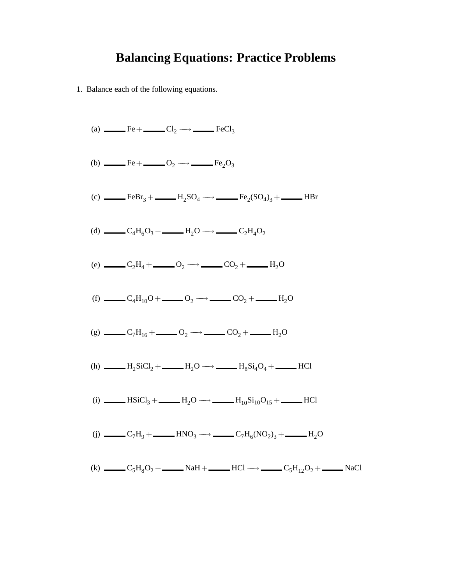### **Balancing Equations: Practice Problems**

1. Balance each of the following equations.

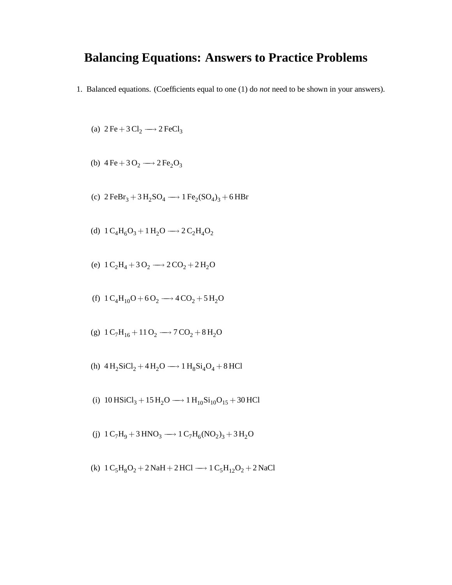### **Balancing Equations: Answers to Practice Problems**

1. Balanced equations. (Coefficients equal to one (1) do *not* need to be shown in your answers).

(a) 
$$
2 \text{Fe} + 3 \text{Cl}_2 \longrightarrow 2 \text{FeCl}_3
$$

(b) 
$$
4 \text{Fe} + 3 \text{O}_2 \longrightarrow 2 \text{Fe}_2\text{O}_3
$$

- (c)  $2 \text{FeBr}_3 + 3 \text{H}_2 \text{SO}_4 \longrightarrow 1 \text{Fe}_2(\text{SO}_4)_3 + 6 \text{HBr}$
- (d)  $1 \text{ C}_4\text{H}_6\text{O}_3 + 1 \text{H}_2\text{O} \longrightarrow 2 \text{ C}_2\text{H}_4\text{O}_2$
- (e)  $1 \text{ C}_2\text{H}_4 + 3 \text{ O}_2 \longrightarrow 2 \text{ CO}_2 + 2 \text{ H}_2\text{O}$
- (f)  $1 \text{ C}_4\text{H}_{10}\text{O} + 6 \text{O}_2 \longrightarrow 4 \text{ CO}_2 + 5 \text{H}_2\text{O}$
- (g)  $1 \text{ C}_7\text{H}_{16} + 11 \text{ O}_2 \longrightarrow 7 \text{ CO}_2 + 8 \text{ H}_2\text{O}$
- (h)  $4 H_2$ SiCl<sub>2</sub> +  $4 H_2$ O  $\longrightarrow 1 H_8$ Si<sub>4</sub>O<sub>4</sub> + 8 HCl
- (i)  $10$  HSiCl<sub>3</sub> + 15 H<sub>2</sub>O → 1 H<sub>10</sub>Si<sub>10</sub>O<sub>15</sub> + 30 HCl
- (j)  $1 \text{ C}_7\text{H}_9 + 3 \text{ HNO}_3 \longrightarrow 1 \text{ C}_7\text{H}_6(\text{NO}_2)_3 + 3 \text{ H}_2\text{O}$
- (k)  $1 \text{ C}_5\text{H}_8\text{O}_2 + 2 \text{ NaH} + 2 \text{ HCl} \longrightarrow 1 \text{ C}_5\text{H}_{12}\text{O}_2 + 2 \text{ NaCl}$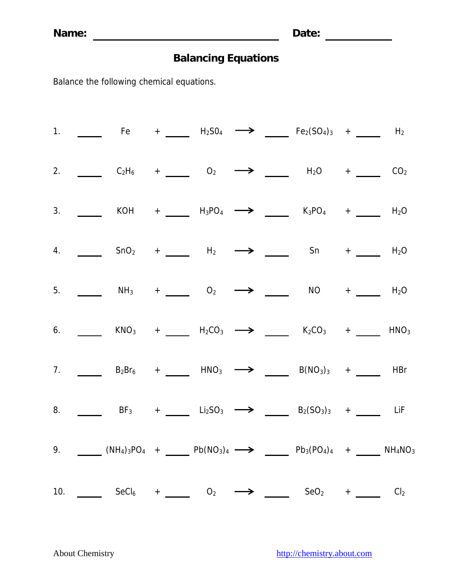|  |  |  | 1. _____ Fe + ____ H <sub>2</sub> SO <sub>4</sub> $\longrightarrow$ ___ Fe <sub>2</sub> (SO <sub>4</sub> ) <sub>3</sub> + ___ H <sub>2</sub>                                                                                   |  |
|--|--|--|--------------------------------------------------------------------------------------------------------------------------------------------------------------------------------------------------------------------------------|--|
|  |  |  | 2. ______ $C_2H_6$ + _____ $O_2$ $\longrightarrow$ ____ $H_2O$ + ____ $CO_2$                                                                                                                                                   |  |
|  |  |  | 3. ________ KOH + ______ H <sub>3</sub> PO <sub>4</sub> $\longrightarrow$ ______ K <sub>3</sub> PO <sub>4</sub> + _____ H <sub>2</sub> O                                                                                       |  |
|  |  |  | 4. $\frac{1}{\sqrt{1-\frac{1}{2}}}$ SnO <sub>2</sub> + $\frac{1}{\sqrt{1-\frac{1}{2}}}$ H <sub>2</sub> $\rightarrow$ $\frac{1}{\sqrt{1-\frac{1}{2}}}$ Sn + $\frac{1}{\sqrt{1-\frac{1}{2}}}$ H <sub>2</sub> O                   |  |
|  |  |  | 5. ______ NH <sub>3</sub> + ____ O <sub>2</sub> $\longrightarrow$ ____ NO + ____ H <sub>2</sub> O                                                                                                                              |  |
|  |  |  | 6. ______ KNO <sub>3</sub> + ____ H <sub>2</sub> CO <sub>3</sub> $\longrightarrow$ ____ K <sub>2</sub> CO <sub>3</sub> + ____ HNO <sub>3</sub>                                                                                 |  |
|  |  |  | 7. ______ $B_2Br_6$ + _____ $HNO_3$ $\longrightarrow$ _____ $B(NO_3)_3$ + _____ $HBr$                                                                                                                                          |  |
|  |  |  | 8. _____ BF <sub>3</sub> + ____ Li <sub>2</sub> SO <sub>3</sub> $\longrightarrow$ ____ B <sub>2</sub> (SO <sub>3</sub> ) <sub>3</sub> + ____ LiF                                                                               |  |
|  |  |  | 9. $\underline{\hspace{1cm}}$ (NH <sub>4</sub> ) <sub>3</sub> PO <sub>4</sub> + <u>D</u> Pb(NO <sub>3</sub> ) <sub>4</sub> $\longrightarrow$ Db <sub>3</sub> (PO <sub>4</sub> ) <sub>4</sub> + DH <sub>4</sub> NO <sub>3</sub> |  |
|  |  |  | 10. SeCl <sub>6</sub> + 0 <sub>2</sub> $\rightarrow$ 0 <sub>2</sub> $\rightarrow$ 0 <sub>2</sub> + 0 <sub>2</sub> Cl <sub>2</sub>                                                                                              |  |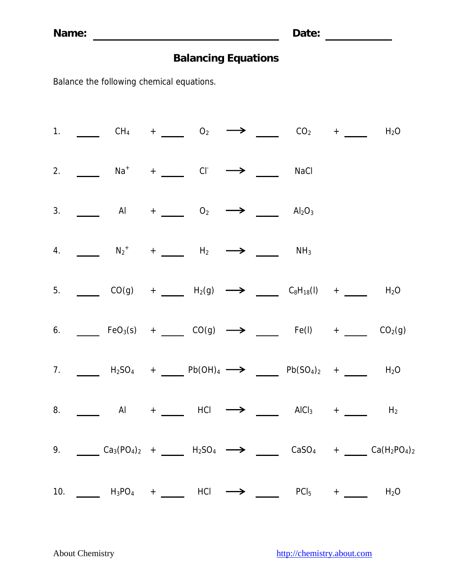|  | 1. _____ CH <sub>4</sub> + ____ O <sub>2</sub> $\longrightarrow$ ___ CO <sub>2</sub> + ___ H <sub>2</sub> O                                                              |  |  |  |                                                                                                                                               |
|--|--------------------------------------------------------------------------------------------------------------------------------------------------------------------------|--|--|--|-----------------------------------------------------------------------------------------------------------------------------------------------|
|  | 2. $\frac{1}{\sqrt{2}}$ Na <sup>+</sup> + Cl <sup>-</sup> $\rightarrow$ MaCl                                                                                             |  |  |  |                                                                                                                                               |
|  | 3. $\qquad \qquad$ Al $+$ $\qquad \qquad$ O <sub>2</sub> $\longrightarrow$ $\qquad \qquad$ Al <sub>2</sub> O <sub>3</sub>                                                |  |  |  |                                                                                                                                               |
|  |                                                                                                                                                                          |  |  |  |                                                                                                                                               |
|  | 5. ______ CO(g) + _____ H <sub>2</sub> (g) $\longrightarrow$ ____ C <sub>8</sub> H <sub>18</sub> (l) + ____ H <sub>2</sub> O                                             |  |  |  |                                                                                                                                               |
|  | 6. _____ FeO <sub>3</sub> (s) + _____ CO(g) $\longrightarrow$ _____ Fe(l) + ____ CO <sub>2</sub> (g)                                                                     |  |  |  |                                                                                                                                               |
|  | 7. $\_\_\_\_$ H <sub>2</sub> SO <sub>4</sub> + $\_\_\_$ Pb(OH) <sub>4</sub> $\longrightarrow$ $\_\_\_\_$ Pb(SO <sub>4</sub> ) <sub>2</sub> + $\_\_\_\_$ H <sub>2</sub> O |  |  |  |                                                                                                                                               |
|  | 8. $\qquad \qquad$ Al + HCl $\longrightarrow$ $\qquad$ AlCl <sub>3</sub> + $\qquad$ H <sub>2</sub>                                                                       |  |  |  |                                                                                                                                               |
|  |                                                                                                                                                                          |  |  |  | 9. $Ca_3(PO_4)_2 + \underline{\hspace{1cm}} H_2SO_4 \longrightarrow \underline{\hspace{1cm}} CasO_4 + \underline{\hspace{1cm}} Ca(H_2PO_4)_2$ |
|  | 10. $\_\_\_$ H <sub>3</sub> PO <sub>4</sub> + $\_\_\_$ HCl $\longrightarrow$ $\_\_\_$ PCl <sub>5</sub> + $\_\_\_$ H <sub>2</sub> O                                       |  |  |  |                                                                                                                                               |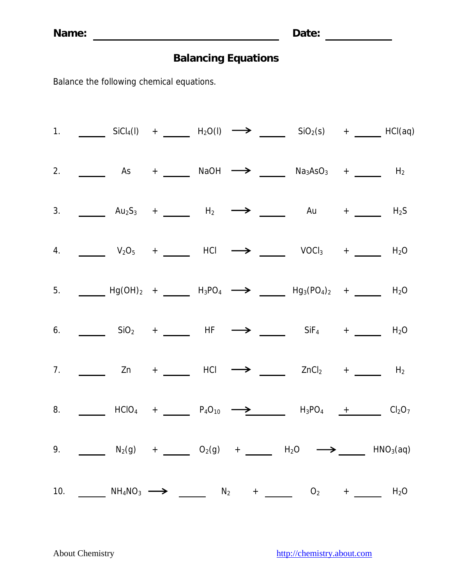**Name: Date:** 

# **Balancing Equations**

|    |  | 1. _______ SiCl <sub>4</sub> (l) + _____ H <sub>2</sub> O(l) $\longrightarrow$ _____ SiO <sub>2</sub> (s) + ____ HCl(aq)                                                                         |  |  |  |
|----|--|--------------------------------------------------------------------------------------------------------------------------------------------------------------------------------------------------|--|--|--|
| 2. |  |                                                                                                                                                                                                  |  |  |  |
|    |  | 3. _______ Au <sub>2</sub> S <sub>3</sub> + _____ H <sub>2</sub> $\longrightarrow$ _____ Au + ____ H <sub>2</sub> S                                                                              |  |  |  |
|    |  | 4. $\frac{1}{205}$ V <sub>2</sub> O <sub>5</sub> + $\frac{1}{205}$ HCl $\rightarrow \frac{1}{20}$ VOCl <sub>3</sub> + $\frac{1}{20}$ H <sub>2</sub> O                                            |  |  |  |
|    |  | 5. $\frac{1}{2}$ Hg(OH) <sub>2</sub> + $\frac{1}{2}$ H <sub>3</sub> PO <sub>4</sub> $\rightarrow$ $\frac{1}{2}$ Hg <sub>3</sub> (PO <sub>4</sub> ) <sub>2</sub> + $\frac{1}{2}$ H <sub>2</sub> O |  |  |  |
|    |  | 6. _______ SiO <sub>2</sub> + _____ HF $\longrightarrow$ _____ SiF <sub>4</sub> + ____ H <sub>2</sub> O                                                                                          |  |  |  |
|    |  | 7. _______ Zn + _____ HCl $\longrightarrow$ _____ ZnCl <sub>2</sub> + _____ H <sub>2</sub>                                                                                                       |  |  |  |
|    |  | 8. Let $\overline{C_1}$ HClO <sub>4</sub> + <u>Let <math>P_4O_{10}</math> <math>\longrightarrow</math> H<sub>3</sub>PO<sub>4</sub> + Cl<sub>2</sub>O<sub>7</sub></u>                             |  |  |  |
|    |  | 9. ______ $N_2(g)$ + _____ $O_2(g)$ + _____ $H_2O$ $\longrightarrow$ ____ $HNO_3(aq)$                                                                                                            |  |  |  |
|    |  | 10. NH <sub>4</sub> NO <sub>3</sub> $\longrightarrow$ N <sub>2</sub> + O <sub>2</sub> + N <sub>2</sub> H <sub>2</sub> O                                                                          |  |  |  |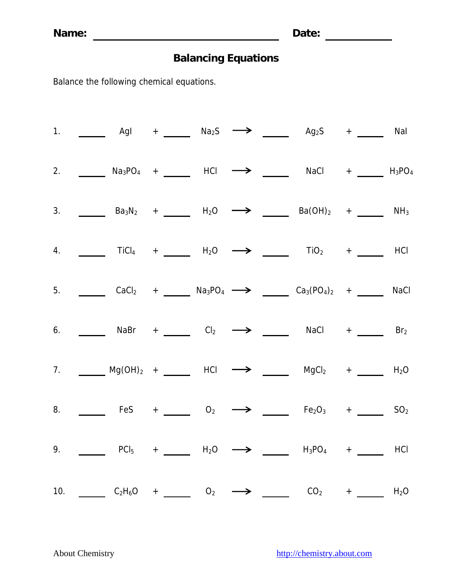|     |  |                                                                        |  | 1. $\_\_\_\_$ AgI + $\_\_\_$ Na <sub>2</sub> S $\longrightarrow$ $\_\_\_\_$ Ag <sub>2</sub> S + $\_\_\_$ NaI                                                                                                                                                               |  |
|-----|--|------------------------------------------------------------------------|--|----------------------------------------------------------------------------------------------------------------------------------------------------------------------------------------------------------------------------------------------------------------------------|--|
|     |  |                                                                        |  | 2. _______ Na <sub>3</sub> PO <sub>4</sub> + _____ HCl $\longrightarrow$ _____ NaCl + _____ H <sub>3</sub> PO <sub>4</sub>                                                                                                                                                 |  |
| 3.  |  |                                                                        |  | <b>Ba</b> <sub>3</sub> N <sub>2</sub> + _____ H <sub>2</sub> O $\longrightarrow$ ____ Ba(OH) <sub>2</sub> + ____ NH <sub>3</sub>                                                                                                                                           |  |
| 4.  |  |                                                                        |  | $\frac{1}{\sqrt{1-\frac{1}{2}}}\$ TiCl <sub>4</sub> + $\frac{1}{\sqrt{1-\frac{1}{2}}}\$ H <sub>2</sub> O $\rightarrow$ $\frac{1}{\sqrt{1-\frac{1}{2}}}\$ TiO <sub>2</sub> + $\frac{1}{\sqrt{1-\frac{1}{2}}}\$ HCl                                                          |  |
|     |  |                                                                        |  | 5. $\frac{CaCl_2}{2}$ + $\frac{Na_3PO_4}{2}$ + $\frac{Ca_3(PO_4)_2}{2}$ + $\frac{Ca_3(PO_4)_2}{2}$ + $\frac{Ca_3(PO_4)_2}{2}$ NaCl                                                                                                                                         |  |
|     |  |                                                                        |  | 6. $\_\_\_\_\_\$ NaBr + $\_\_\_\_$ Cl <sub>2</sub> $\longrightarrow$ $\_\_\_\_\_\_$ NaCl + $\_\_\_\_\_$ Br <sub>2</sub>                                                                                                                                                    |  |
|     |  |                                                                        |  | 7. Mg(OH) <sub>2</sub> + HCl $\longrightarrow$ MgCl <sub>2</sub> + H <sub>2</sub> O                                                                                                                                                                                        |  |
| 8.  |  | $\overline{\phantom{a}}$ FeS + $\overline{\phantom{a}}$ O <sub>2</sub> |  | $\longrightarrow$ $\qquad$ Fe <sub>2</sub> O <sub>3</sub> + $\qquad$ SO <sub>2</sub>                                                                                                                                                                                       |  |
| 9.  |  |                                                                        |  | $\frac{1}{\sqrt{1-\frac{1}{2}}}\quad \text{PCl}_5 \quad + \quad \frac{1}{\sqrt{1-\frac{1}{2}}}\quad \text{H}_2\text{O} \quad \longrightarrow \quad \frac{1}{\sqrt{1-\frac{1}{2}}}\quad \text{H}_3\text{PO}_4 \quad + \quad \frac{1}{\sqrt{1-\frac{1}{2}}}\quad \text{HCl}$ |  |
| 10. |  |                                                                        |  | $C_2H_6O +$ $O_2$ $\longrightarrow$ $CO_2$ $+$ $\_\_$ $H_2O$                                                                                                                                                                                                               |  |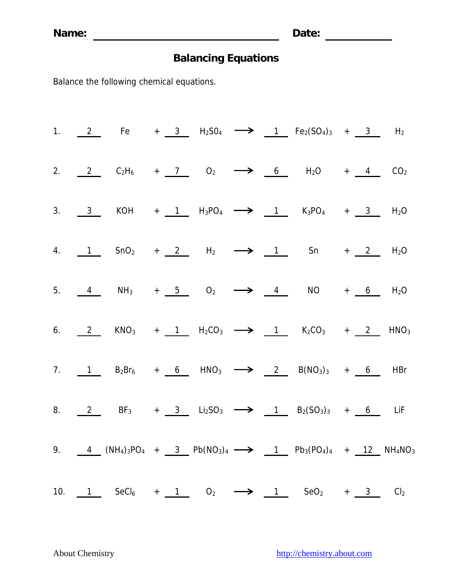|  |  |  |  | 1. $2$ Fe + $3$ H <sub>2</sub> SO <sub>4</sub> $\longrightarrow$ 1 Fe <sub>2</sub> (SO <sub>4</sub> ) <sub>3</sub> + $3$ H <sub>2</sub>                                                                                                                 |  |  |
|--|--|--|--|---------------------------------------------------------------------------------------------------------------------------------------------------------------------------------------------------------------------------------------------------------|--|--|
|  |  |  |  | 2. $2 \tC_2H_6 + 7 \tO_2 \longrightarrow 6 H_2O + 4 \tCO_2$                                                                                                                                                                                             |  |  |
|  |  |  |  | 3. $\frac{3}{2}$ KOH + 1 H <sub>3</sub> PO <sub>4</sub> $\longrightarrow$ 1 K <sub>3</sub> PO <sub>4</sub> + 3 H <sub>2</sub> O                                                                                                                         |  |  |
|  |  |  |  | 4. $\frac{1}{2}$ SnO <sub>2</sub> + <u>2</u> H <sub>2</sub> $\rightarrow$ 1 Sn + 2 H <sub>2</sub> O                                                                                                                                                     |  |  |
|  |  |  |  | 5. $\frac{4}{5}$ NH <sub>3</sub> + $\frac{5}{5}$ O <sub>2</sub> $\longrightarrow$ $\frac{4}{5}$ NO + <u>6</u> H <sub>2</sub> O                                                                                                                          |  |  |
|  |  |  |  | 6. $2$ KNO <sub>3</sub> + 1 H <sub>2</sub> CO <sub>3</sub> $\longrightarrow$ 1 K <sub>2</sub> CO <sub>3</sub> + 2 HNO <sub>3</sub>                                                                                                                      |  |  |
|  |  |  |  | 7. 1 $B_2Br_6$ + 6 $HNO_3$ $\longrightarrow$ 2 $B(NO_3)_3$ + 6 HBr                                                                                                                                                                                      |  |  |
|  |  |  |  | 8. $2$ BF <sub>3</sub> + 3 Li <sub>2</sub> SO <sub>3</sub> $\longrightarrow$ 1 B <sub>2</sub> (SO <sub>3</sub> ) <sub>3</sub> + 6 LiF                                                                                                                   |  |  |
|  |  |  |  | 9. $\frac{4}{12}$ (NH <sub>4</sub> ) <sub>3</sub> PO <sub>4</sub> + $\frac{3}{12}$ Pb(NO <sub>3</sub> ) <sub>4</sub> $\longrightarrow$ $\frac{1}{12}$ Pb <sub>3</sub> (PO <sub>4</sub> ) <sub>4</sub> + $\frac{12}{12}$ NH <sub>4</sub> NO <sub>3</sub> |  |  |
|  |  |  |  | 10. 1 SeCl <sub>6</sub> + 1 O <sub>2</sub> $\longrightarrow$ 1 SeO <sub>2</sub> + 3 Cl <sub>2</sub>                                                                                                                                                     |  |  |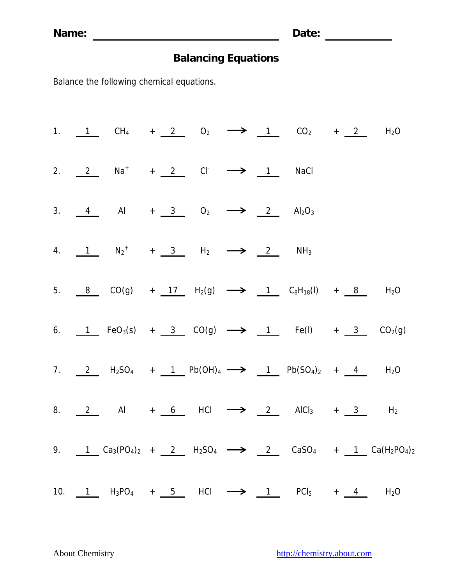|  |                                                                                                                      |  |  |  | 1. 1 CH <sub>4</sub> + 2 O <sub>2</sub> $\longrightarrow$ 1 CO <sub>2</sub> + 2 H <sub>2</sub> O |
|--|----------------------------------------------------------------------------------------------------------------------|--|--|--|--------------------------------------------------------------------------------------------------|
|  | 2. $2$ Na <sup>+</sup> + 2 Cl <sup>-</sup> $\rightarrow$ 1 NaCl                                                      |  |  |  |                                                                                                  |
|  | 3. $\frac{4}{10}$ Al + $\frac{3}{10}$ O <sub>2</sub> $\longrightarrow$ $\frac{2}{10}$ Al <sub>2</sub> O <sub>3</sub> |  |  |  |                                                                                                  |
|  | 4. $1 N_2^+$ + 3 H <sub>2</sub> $\longrightarrow$ 2 NH <sub>3</sub>                                                  |  |  |  |                                                                                                  |
|  | 5. 8 CO(g) + 17 H <sub>2</sub> (g) $\longrightarrow$ 1 C <sub>8</sub> H <sub>18</sub> (l) + 8 H <sub>2</sub> O       |  |  |  |                                                                                                  |
|  | 6. 1 FeO <sub>3</sub> (s) + 3 CO(g) $\longrightarrow$ 1 Fe(l) + 3 CO <sub>2</sub> (g)                                |  |  |  |                                                                                                  |
|  | 7. $2 \tH_2SO_4 + 1 \tPb(OH)_4 \longrightarrow 1 \tPb(SO_4)_2 + 4 \tH_2O$                                            |  |  |  |                                                                                                  |
|  | 8. $2$ Al + 6 HCl $\longrightarrow$ 2 AlCl <sub>3</sub> + 3 H <sub>2</sub>                                           |  |  |  |                                                                                                  |
|  |                                                                                                                      |  |  |  | 9. 1 $Ca_3(PO_4)_2$ + 2 $H_2SO_4$ $\longrightarrow$ 2 $CaSO_4$ + 1 $Ca(H_2PO_4)_2$               |
|  | 10. 1 $H_3PO_4$ + 5 HCl $\longrightarrow$ 1 PCl <sub>5</sub> + 4 H <sub>2</sub> O                                    |  |  |  |                                                                                                  |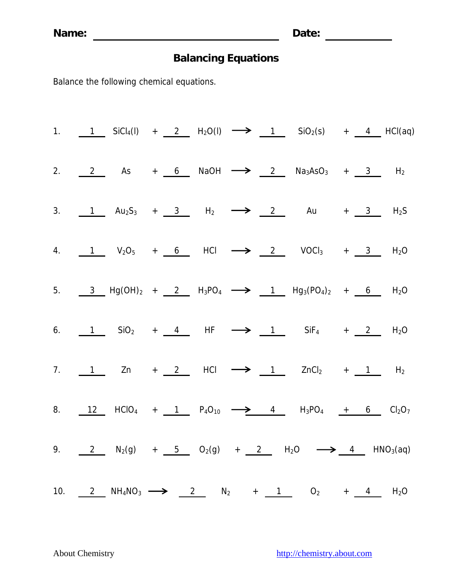**Name: Date:** 

# **Balancing Equations**

|  |  |  |  | 1. 1 SiCl <sub>4</sub> (l) + 2 H <sub>2</sub> O(l) $\longrightarrow$ 1 SiO <sub>2</sub> (s) + 4 HCl(aq)                                                               |  |  |
|--|--|--|--|-----------------------------------------------------------------------------------------------------------------------------------------------------------------------|--|--|
|  |  |  |  | 2. $2$ As + 6 NaOH $\rightarrow$ 2 Na <sub>3</sub> AsO <sub>3</sub> + 3 H <sub>2</sub>                                                                                |  |  |
|  |  |  |  | 3. 1 $Au_2S_3$ + 3 $H_2$ $\longrightarrow$ 2 Au + 3 $H_2S_3$                                                                                                          |  |  |
|  |  |  |  | 4. 1 $V_2O_5$ + 6 HCl $\longrightarrow$ 2 VOCl <sub>3</sub> + 3 H <sub>2</sub> O                                                                                      |  |  |
|  |  |  |  | 5. $\frac{3}{2}$ Hg(OH) <sub>2</sub> + 2 H <sub>3</sub> PO <sub>4</sub> $\longrightarrow$ 1 Hg <sub>3</sub> (PO <sub>4</sub> ) <sub>2</sub> + 6 H <sub>2</sub> O      |  |  |
|  |  |  |  | 6. 1 $\sin 92 + 4$ HF $\rightarrow 1$ $\sin 64 + 2$ H <sub>2</sub> O                                                                                                  |  |  |
|  |  |  |  | 7. $1$ Zn + 2 HCl $\longrightarrow$ 1 ZnCl <sub>2</sub> + 1 H <sub>2</sub>                                                                                            |  |  |
|  |  |  |  | 8. $\frac{12}{12}$ HClO <sub>4</sub> + $\frac{1}{1}$ P <sub>4</sub> O <sub>10</sub> $\rightarrow$ 4 H <sub>3</sub> PO <sub>4</sub> + 6 Cl <sub>2</sub> O <sub>7</sub> |  |  |
|  |  |  |  | 9. $2 N_2(g) + 5 O_2(g) + 2 N_2O \rightarrow 4 N_0(g)$                                                                                                                |  |  |
|  |  |  |  | 10. $2$ NH <sub>4</sub> NO <sub>3</sub> $\longrightarrow$ 2 N <sub>2</sub> + <u>1</u> O <sub>2</sub> + <u>4</u> H <sub>2</sub> O                                      |  |  |